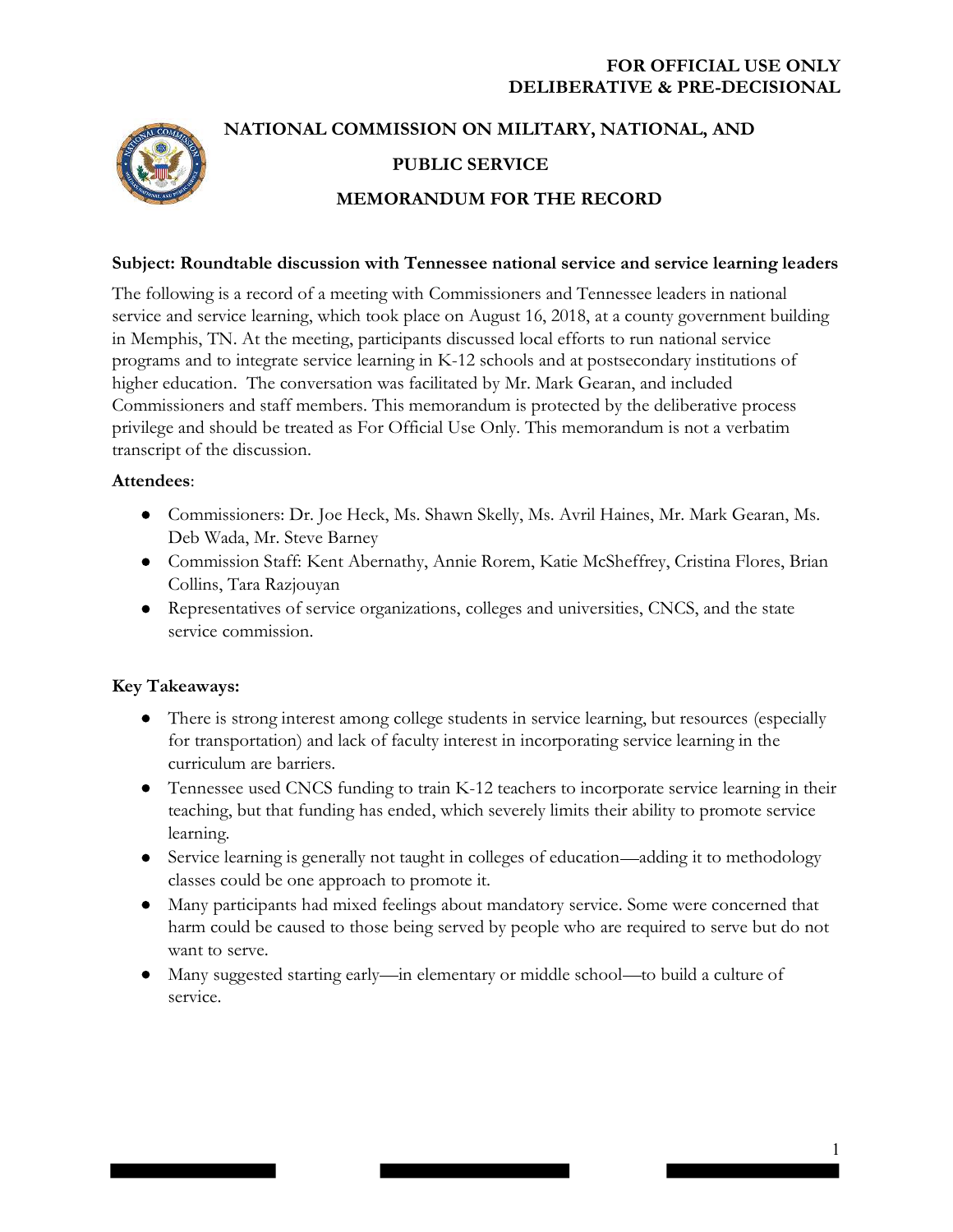

# NATIONAL COMMISSION ON MILITARY, NATIONAL, AND PUBLIC SERVICE MEMORANDUM FOR THE RECORD

#### Subject: Roundtable discussion with Tennessee national service and service learning leaders

The following is a record of a meeting with Commissioners and Tennessee leaders in national service and service learning, which took place on August 16, 2018, at a county government building in Memphis, TN. At the meeting, participants discussed local efforts to run national service programs and to integrate service learning in K-12 schools and at postsecondary institutions of higher education. The conversation was facilitated by Mr. Mark Gearan, and included Commissioners and staff members. This memorandum is protected by the deliberative process privilege and should be treated as For Official Use Only. This memorandum is not a verbatim transcript of the discussion.

#### Attendees:

- Commissioners: Dr. Joe Heck, Ms. Shawn Skelly, Ms. Avril Haines, Mr. Mark Gearan, Ms. Deb Wada, Mr. Steve Barney
- Commission Staff: Kent Abernathy, Annie Rorem, Katie McSheffrey, Cristina Flores, Brian Collins, Tara Razjouyan
- Representatives of service organizations, colleges and universities, CNCS, and the state service commission.

#### Key Takeaways:

- There is strong interest among college students in service learning, but resources (especially for transportation) and lack of faculty interest in incorporating service learning in the curriculum are barriers.
- Tennessee used CNCS funding to train K-12 teachers to incorporate service learning in their teaching, but that funding has ended, which severely limits their ability to promote service learning.
- Service learning is generally not taught in colleges of education—adding it to methodology classes could be one approach to promote it.
- Many participants had mixed feelings about mandatory service. Some were concerned that harm could be caused to those being served by people who are required to serve but do not want to serve.
- Many suggested starting early—in elementary or middle school—to build a culture of service.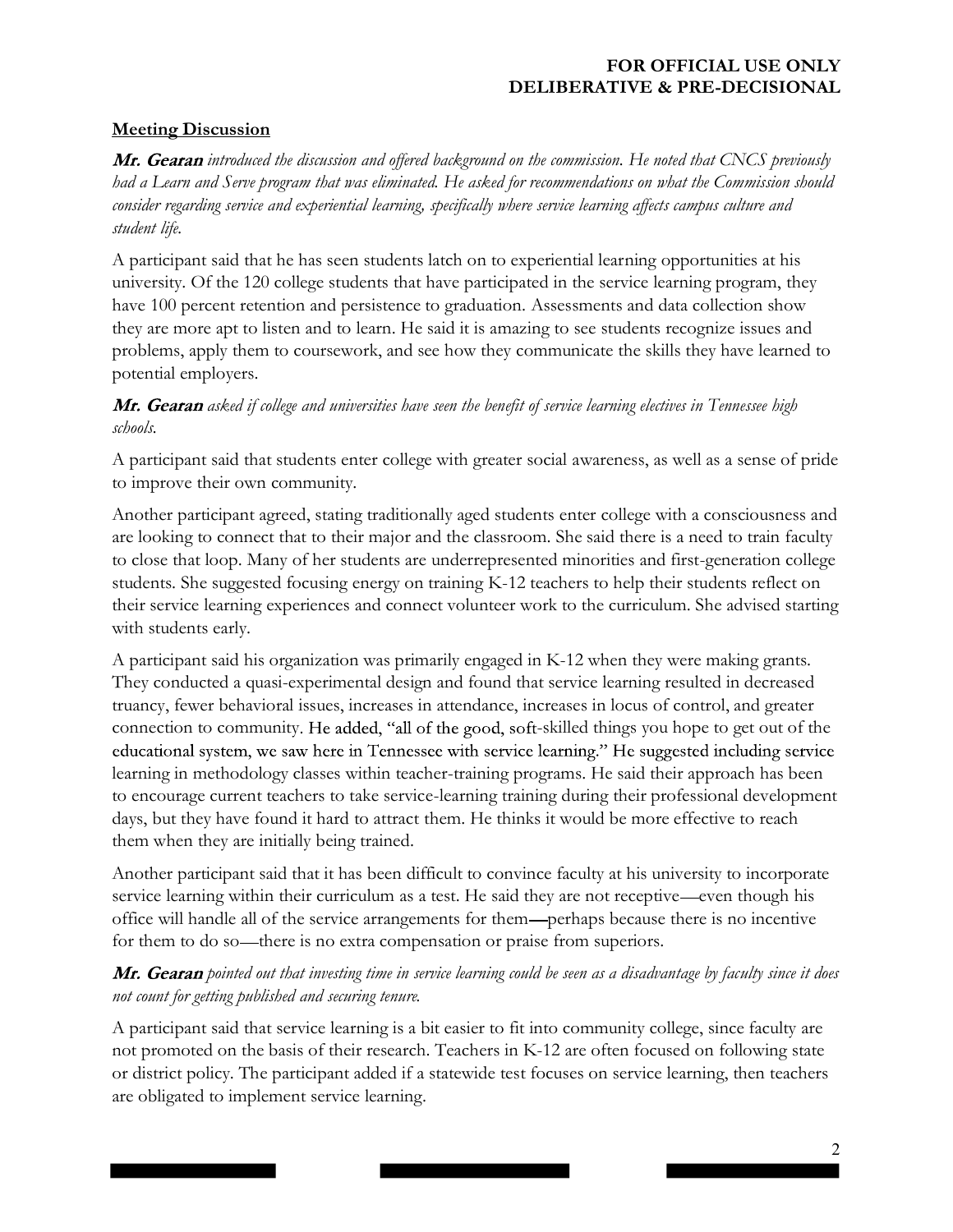# Meeting Discussion

Mr. Gearan introduced the discussion and offered background on the commission. He noted that CNCS previously had a Learn and Serve program that was eliminated. He asked for recommendations on what the Commission should consider regarding service and experiential learning, specifically where service learning affects campus culture and student life.

A participant said that he has seen students latch on to experiential learning opportunities at his university. Of the 120 college students that have participated in the service learning program, they have 100 percent retention and persistence to graduation. Assessments and data collection show they are more apt to listen and to learn. He said it is amazing to see students recognize issues and problems, apply them to coursework, and see how they communicate the skills they have learned to potential employers.

# Mr. Gearan asked if college and universities have seen the benefit of service learning electives in Tennessee high schools.

A participant said that students enter college with greater social awareness, as well as a sense of pride to improve their own community.

Another participant agreed, stating traditionally aged students enter college with a consciousness and are looking to connect that to their major and the classroom. She said there is a need to train faculty to close that loop. Many of her students are underrepresented minorities and first-generation college students. She suggested focusing energy on training K-12 teachers to help their students reflect on their service learning experiences and connect volunteer work to the curriculum. She advised starting with students early.

A participant said his organization was primarily engaged in K-12 when they were making grants. They conducted a quasi-experimental design and found that service learning resulted in decreased truancy, fewer behavioral issues, increases in attendance, increases in locus of control, and greater connection to community. He added, "all of the good, soft-skilled things you hope to get out of the educational system, we saw here in Tennessee with service learning." He suggested including service learning in methodology classes within teacher-training programs. He said their approach has been to encourage current teachers to take service-learning training during their professional development days, but they have found it hard to attract them. He thinks it would be more effective to reach them when they are initially being trained.

Another participant said that it has been difficult to convince faculty at his university to incorporate service learning within their curriculum as a test. He said they are not receptive—even though his office will handle all of the service arrangements for them—perhaps because there is no incentive for them to do so—there is no extra compensation or praise from superiors.

# Mr. Gearan pointed out that investing time in service learning could be seen as a disadvantage by faculty since it does not count for getting published and securing tenure.

A participant said that service learning is a bit easier to fit into community college, since faculty are not promoted on the basis of their research. Teachers in K-12 are often focused on following state or district policy. The participant added if a statewide test focuses on service learning, then teachers are obligated to implement service learning.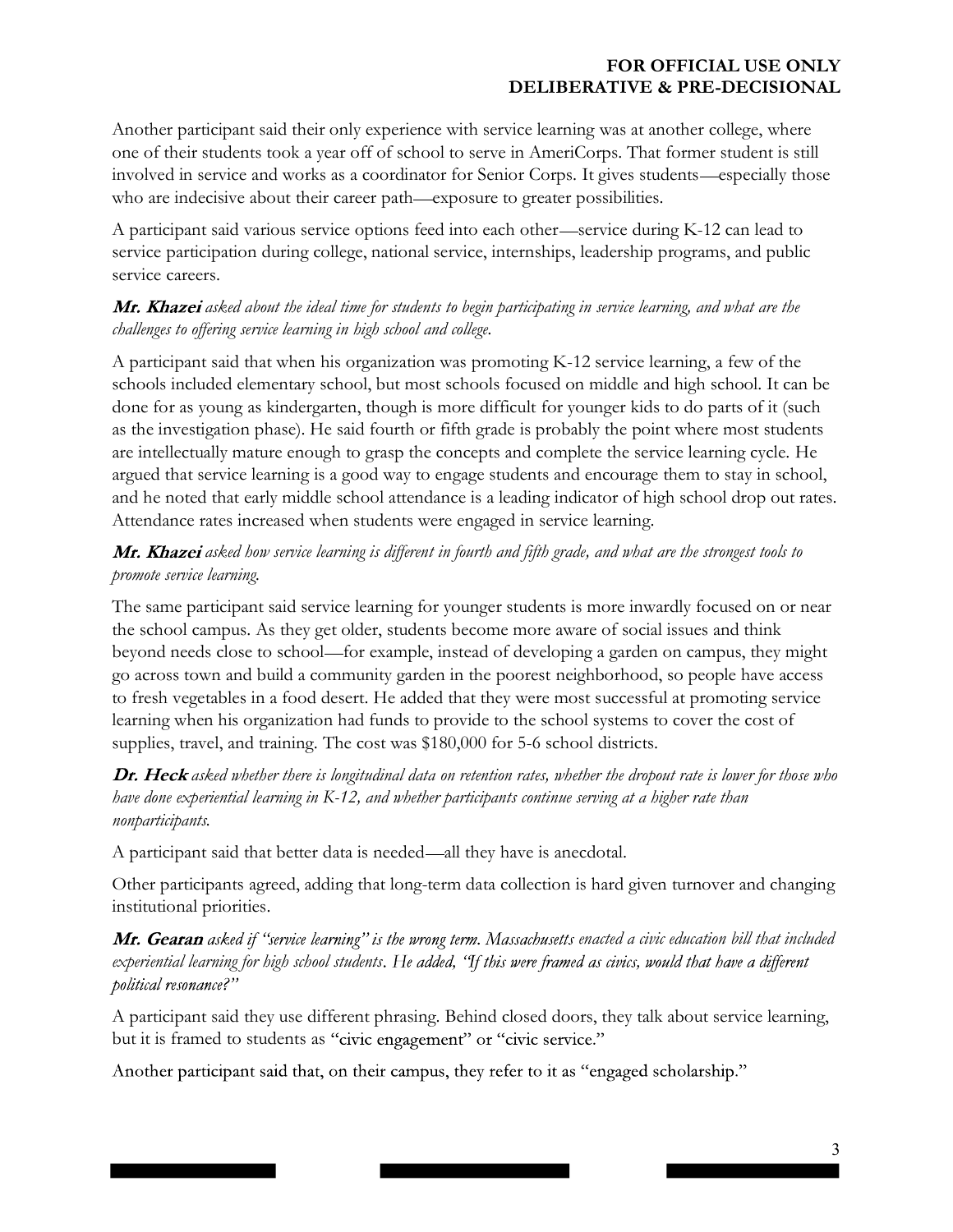Another participant said their only experience with service learning was at another college, where one of their students took a year off of school to serve in AmeriCorps. That former student is still involved in service and works as a coordinator for Senior Corps. It gives students—especially those who are indecisive about their career path—exposure to greater possibilities.

A participant said various service options feed into each other—service during K-12 can lead to service participation during college, national service, internships, leadership programs, and public service careers.

## Mr. Khazei asked about the ideal time for students to begin participating in service learning, and what are the challenges to offering service learning in high school and college.

A participant said that when his organization was promoting K-12 service learning, a few of the schools included elementary school, but most schools focused on middle and high school. It can be done for as young as kindergarten, though is more difficult for younger kids to do parts of it (such as the investigation phase). He said fourth or fifth grade is probably the point where most students are intellectually mature enough to grasp the concepts and complete the service learning cycle. He argued that service learning is a good way to engage students and encourage them to stay in school, and he noted that early middle school attendance is a leading indicator of high school drop out rates. Attendance rates increased when students were engaged in service learning.

# Mr. Khazei asked how service learning is different in fourth and fifth grade, and what are the strongest tools to promote service learning.

The same participant said service learning for younger students is more inwardly focused on or near the school campus. As they get older, students become more aware of social issues and think beyond needs close to school—for example, instead of developing a garden on campus, they might go across town and build a community garden in the poorest neighborhood, so people have access to fresh vegetables in a food desert. He added that they were most successful at promoting service learning when his organization had funds to provide to the school systems to cover the cost of supplies, travel, and training. The cost was \$180,000 for 5-6 school districts.

## Dr. Heck asked whether there is longitudinal data on retention rates, whether the dropout rate is lower for those who have done experiential learning in K-12, and whether participants continue serving at a higher rate than nonparticipants.

A participant said that better data is needed—all they have is anecdotal.

Other participants agreed, adding that long-term data collection is hard given turnover and changing institutional priorities.

Mr. Gearan asked if "service learning" is the wrong term. Massachusetts enacted a civic education bill that included experiential learning for high school students. He added, 'If this were framed as civics, would that have a different political resonance?"

A participant said they use different phrasing. Behind closed doors, they talk about service learning, but it is framed to students as "civic engagement" or "civic service."

Another participant said that, on their campus, they refer to it as "engaged scholarship."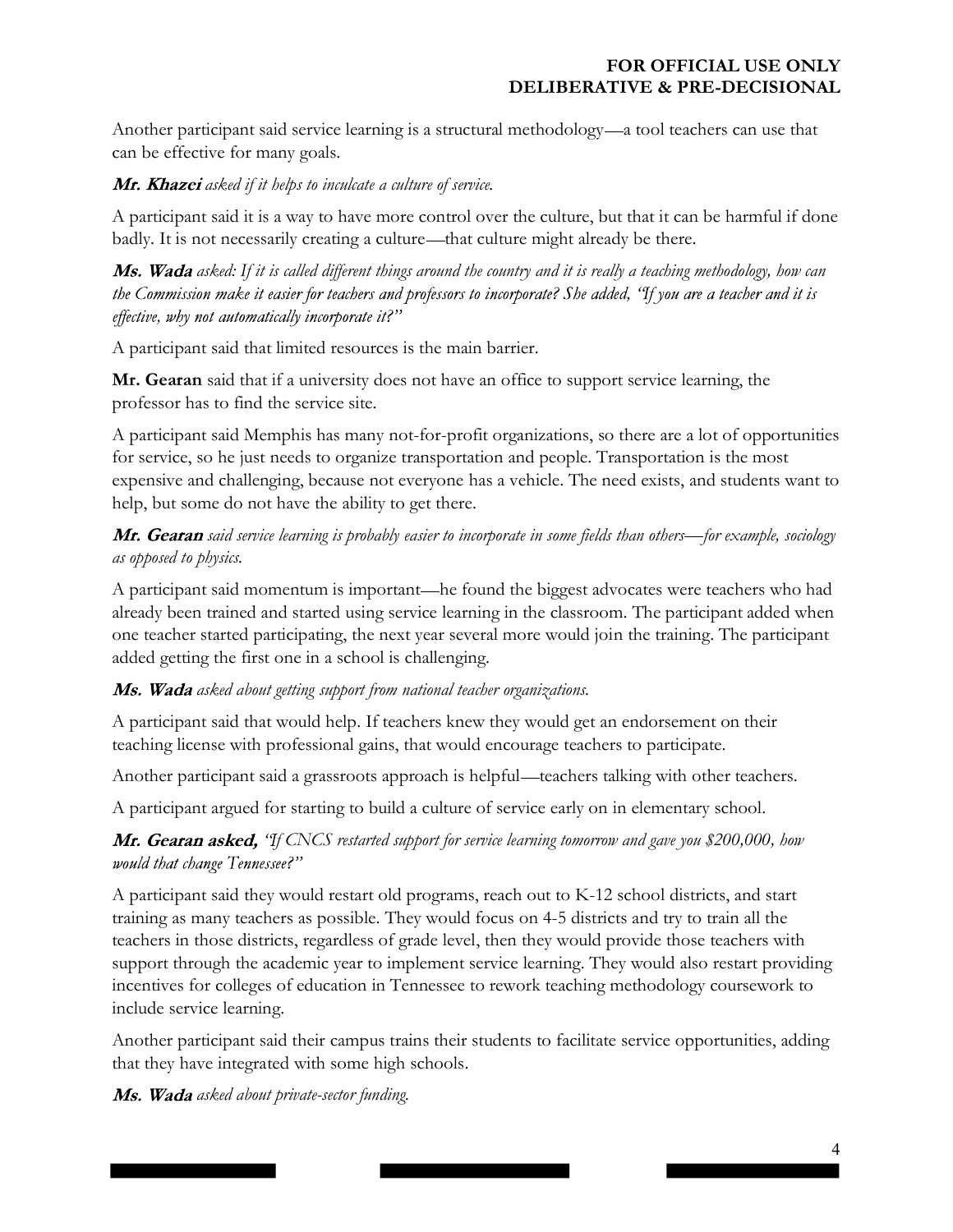Another participant said service learning is a structural methodology—a tool teachers can use that can be effective for many goals.

#### Mr. Khazei asked if it helps to inculcate a culture of service.

A participant said it is a way to have more control over the culture, but that it can be harmful if done badly. It is not necessarily creating a culture—that culture might already be there.

Ms. Wada asked: If it is called different things around the country and it is really a teaching methodology, how can the Commission make it easier for teachers and professors to incorporate? She added, "If you are a teacher and it is effective, why not automatically incorporate it?"

A participant said that limited resources is the main barrier.

Mr. Gearan said that if a university does not have an office to support service learning, the professor has to find the service site.

A participant said Memphis has many not-for-profit organizations, so there are a lot of opportunities for service, so he just needs to organize transportation and people. Transportation is the most expensive and challenging, because not everyone has a vehicle. The need exists, and students want to help, but some do not have the ability to get there.

Mr. Gearan said service learning is probably easier to incorporate in some fields than others—for example, sociology as opposed to physics.

A participant said momentum is important—he found the biggest advocates were teachers who had already been trained and started using service learning in the classroom. The participant added when one teacher started participating, the next year several more would join the training. The participant added getting the first one in a school is challenging.

## $\overline{Ms}$ . Wada asked about getting support from national teacher organizations.

A participant said that would help. If teachers knew they would get an endorsement on their teaching license with professional gains, that would encourage teachers to participate.

Another participant said a grassroots approach is helpful—teachers talking with other teachers.

A participant argued for starting to build a culture of service early on in elementary school.

## **Mr. Gearan asked,** "If CNCS restarted support for service learning tomorrow and gave you \$200,000, how would that change Tennessee?"

A participant said they would restart old programs, reach out to K-12 school districts, and start training as many teachers as possible. They would focus on 4-5 districts and try to train all the teachers in those districts, regardless of grade level, then they would provide those teachers with support through the academic year to implement service learning. They would also restart providing incentives for colleges of education in Tennessee to rework teaching methodology coursework to include service learning.

Another participant said their campus trains their students to facilitate service opportunities, adding that they have integrated with some high schools.

Ms. Wada asked about private-sector funding.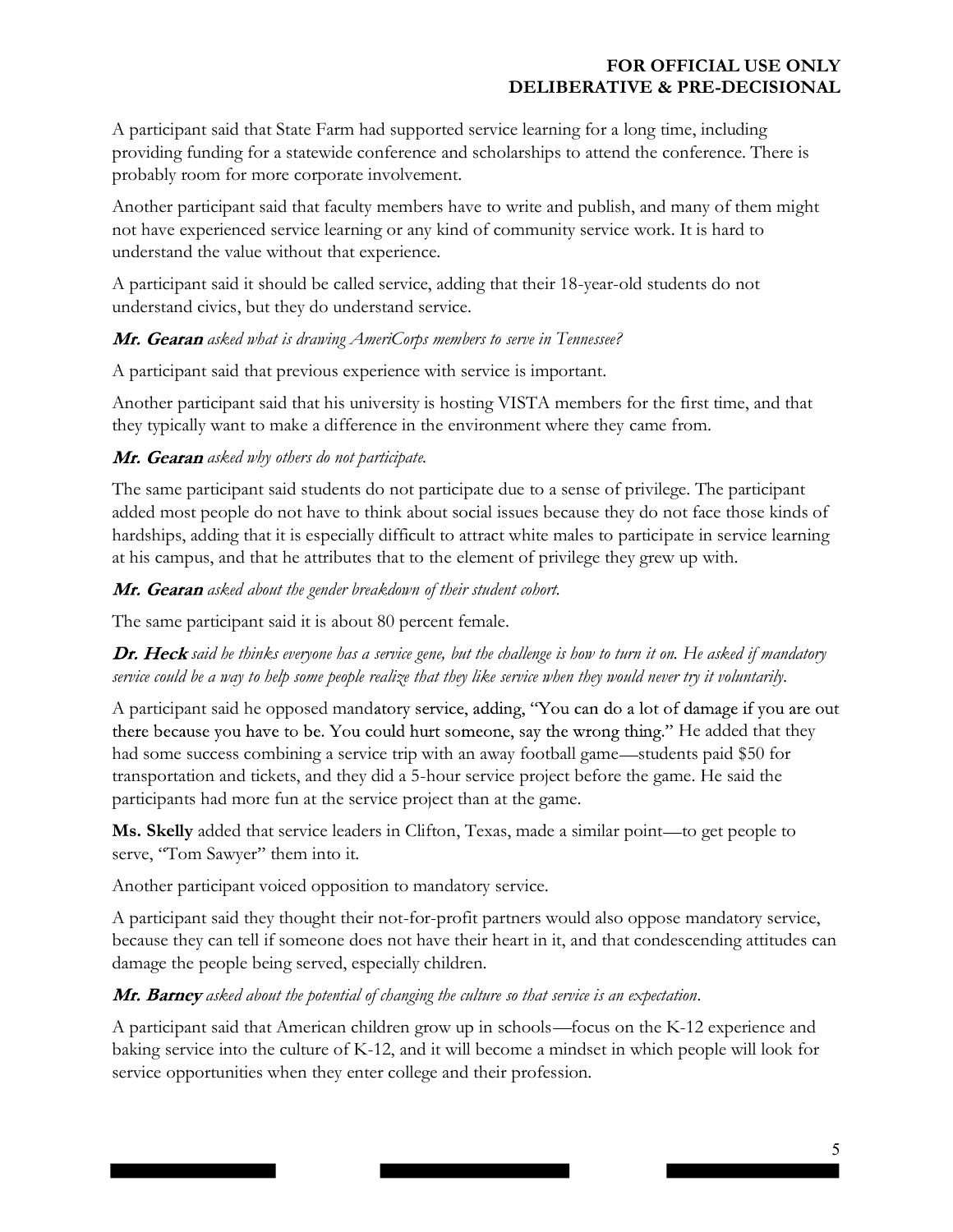A participant said that State Farm had supported service learning for a long time, including providing funding for a statewide conference and scholarships to attend the conference. There is probably room for more corporate involvement.

Another participant said that faculty members have to write and publish, and many of them might not have experienced service learning or any kind of community service work. It is hard to understand the value without that experience.

A participant said it should be called service, adding that their 18-year-old students do not understand civics, but they do understand service.

## Mr. Gearan asked what is drawing AmeriCorps members to serve in Tennessee?

A participant said that previous experience with service is important.

Another participant said that his university is hosting VISTA members for the first time, and that they typically want to make a difference in the environment where they came from.

## Mr. Gearan asked why others do not participate.

The same participant said students do not participate due to a sense of privilege. The participant added most people do not have to think about social issues because they do not face those kinds of hardships, adding that it is especially difficult to attract white males to participate in service learning at his campus, and that he attributes that to the element of privilege they grew up with.

#### Mr. Gearan asked about the gender breakdown of their student cohort.

The same participant said it is about 80 percent female.

Dr. Heck said he thinks everyone has a service gene, but the challenge is how to turn it on. He asked if mandatory service could be a way to help some people realize that they like service when they would never try it voluntarily.

A participant said he opposed mandatory service, adding, "You can do a lot of damage if you are out there because you have to be. You could hurt someone, say the wrong thing." He added that they had some success combining a service trip with an away football game—students paid \$50 for transportation and tickets, and they did a 5-hour service project before the game. He said the participants had more fun at the service project than at the game.

Ms. Skelly added that service leaders in Clifton, Texas, made a similar point—to get people to serve, "Tom Sawyer" them into it.

Another participant voiced opposition to mandatory service.

A participant said they thought their not-for-profit partners would also oppose mandatory service, because they can tell if someone does not have their heart in it, and that condescending attitudes can damage the people being served, especially children.

## Mr. Barney asked about the potential of changing the culture so that service is an expectation.

A participant said that American children grow up in schools—focus on the K-12 experience and baking service into the culture of K-12, and it will become a mindset in which people will look for service opportunities when they enter college and their profession.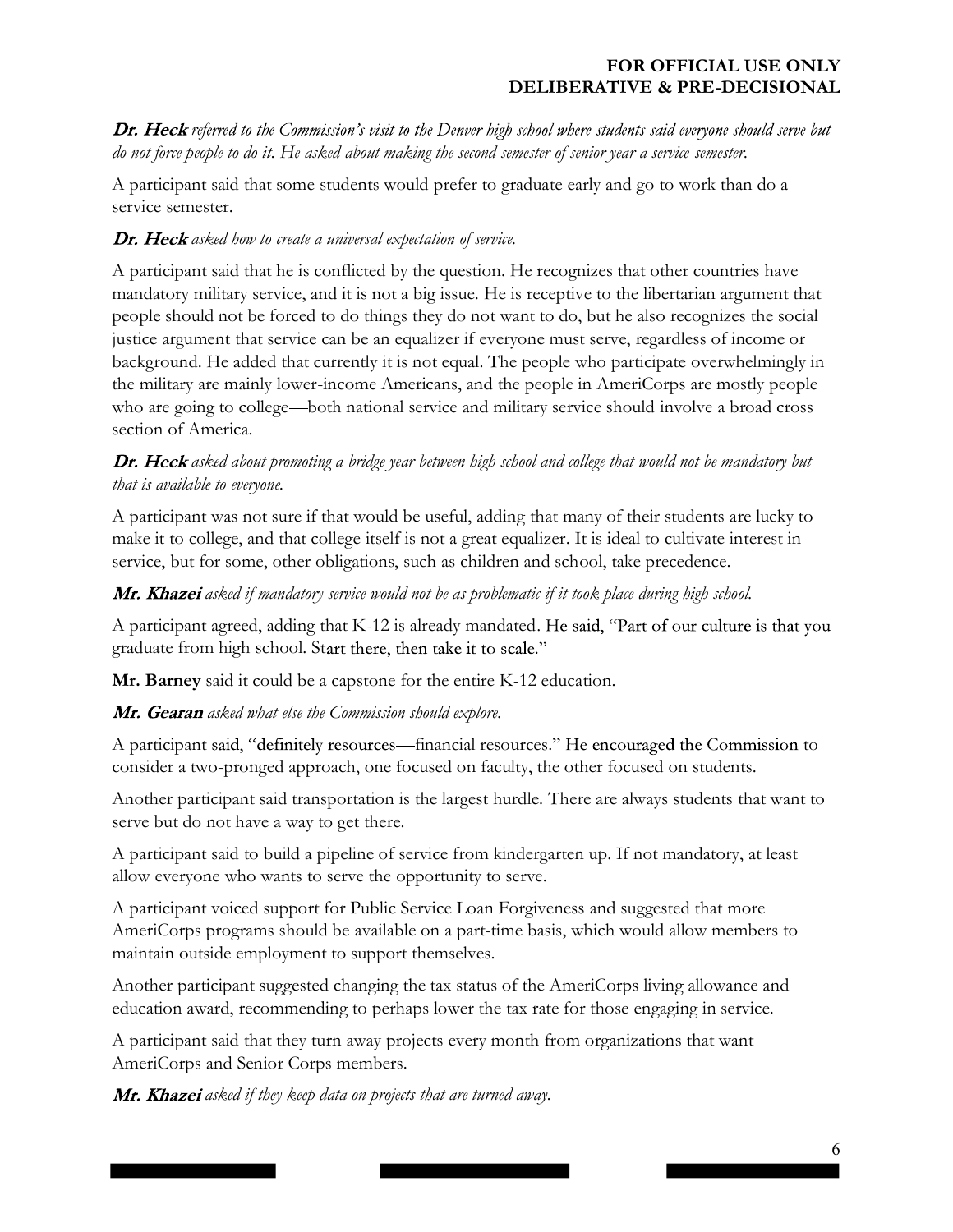Dr. Heck referred to the Commission's visit to the Denver high school where students said everyone should serve but do not force people to do it. He asked about making the second semester of senior year a service semester.

A participant said that some students would prefer to graduate early and go to work than do a service semester.

# Dr. Heck asked how to create a universal expectation of service.

A participant said that he is conflicted by the question. He recognizes that other countries have mandatory military service, and it is not a big issue. He is receptive to the libertarian argument that people should not be forced to do things they do not want to do, but he also recognizes the social justice argument that service can be an equalizer if everyone must serve, regardless of income or background. He added that currently it is not equal. The people who participate overwhelmingly in the military are mainly lower-income Americans, and the people in AmeriCorps are mostly people who are going to college—both national service and military service should involve a broad cross section of America.

# Dr. Heck asked about promoting a bridge year between high school and college that would not be mandatory but that is available to everyone.

A participant was not sure if that would be useful, adding that many of their students are lucky to make it to college, and that college itself is not a great equalizer. It is ideal to cultivate interest in service, but for some, other obligations, such as children and school, take precedence.

## Mr. Khazei asked if mandatory service would not be as problematic if it took place during high school.

A participant agreed, adding that K-12 is already mandated. He said, "Part of our culture is that you graduate from high school. Start there, then take it to scale."

Mr. Barney said it could be a capstone for the entire K-12 education.

## Mr. Gearan asked what else the Commission should explore.

A participant said, "definitely resources—financial resources." He encouraged the Commission to consider a two-pronged approach, one focused on faculty, the other focused on students.

Another participant said transportation is the largest hurdle. There are always students that want to serve but do not have a way to get there.

A participant said to build a pipeline of service from kindergarten up. If not mandatory, at least allow everyone who wants to serve the opportunity to serve.

A participant voiced support for Public Service Loan Forgiveness and suggested that more AmeriCorps programs should be available on a part-time basis, which would allow members to maintain outside employment to support themselves.

Another participant suggested changing the tax status of the AmeriCorps living allowance and education award, recommending to perhaps lower the tax rate for those engaging in service.

A participant said that they turn away projects every month from organizations that want AmeriCorps and Senior Corps members.

**Mr. Khazei** asked if they keep data on projects that are turned away.